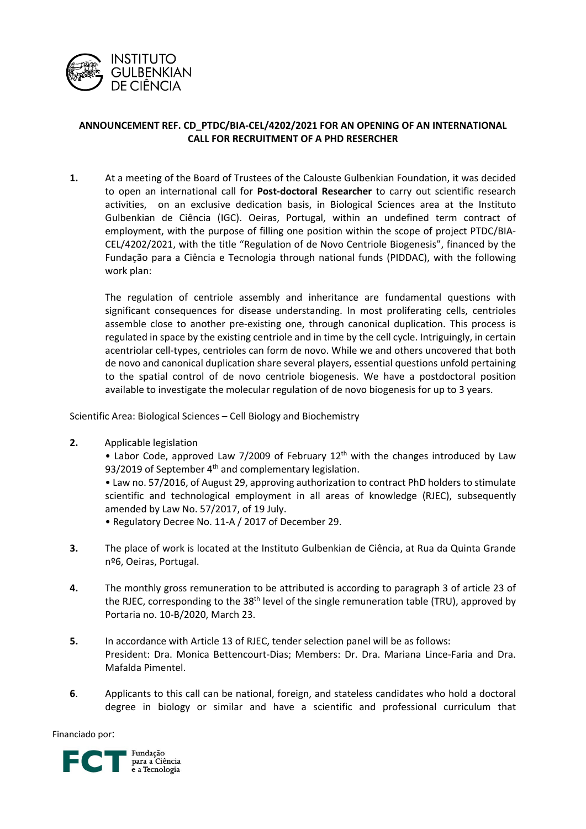

## **ANNOUNCEMENT REF. CD\_PTDC/BIA‐CEL/4202/2021 FOR AN OPENING OF AN INTERNATIONAL CALL FOR RECRUITMENT OF A PHD RESERCHER**

**1.** At a meeting of the Board of Trustees of the Calouste Gulbenkian Foundation, it was decided to open an international call for **Post‐doctoral Researcher** to carry out scientific research activities, on an exclusive dedication basis, in Biological Sciences area at the Instituto Gulbenkian de Ciência (IGC). Oeiras, Portugal, within an undefined term contract of employment, with the purpose of filling one position within the scope of project PTDC/BIA‐ CEL/4202/2021, with the title "Regulation of de Novo Centriole Biogenesis", financed by the Fundação para a Ciência e Tecnologia through national funds (PIDDAC), with the following work plan:

The regulation of centriole assembly and inheritance are fundamental questions with significant consequences for disease understanding. In most proliferating cells, centrioles assemble close to another pre‐existing one, through canonical duplication. This process is regulated in space by the existing centriole and in time by the cell cycle. Intriguingly, in certain acentriolar cell‐types, centrioles can form de novo. While we and others uncovered that both de novo and canonical duplication share several players, essential questions unfold pertaining to the spatial control of de novo centriole biogenesis. We have a postdoctoral position available to investigate the molecular regulation of de novo biogenesis for up to 3 years.

Scientific Area: Biological Sciences – Cell Biology and Biochemistry

**2.** Applicable legislation

• Labor Code, approved Law 7/2009 of February  $12<sup>th</sup>$  with the changes introduced by Law 93/2019 of September 4<sup>th</sup> and complementary legislation.

• Law no. 57/2016, of August 29, approving authorization to contract PhD holders to stimulate scientific and technological employment in all areas of knowledge (RJEC), subsequently amended by Law No. 57/2017, of 19 July.

- Regulatory Decree No. 11‐A / 2017 of December 29.
- **3.** The place of work is located at the Instituto Gulbenkian de Ciência, at Rua da Quinta Grande nº6, Oeiras, Portugal.
- **4.** The monthly gross remuneration to be attributed is according to paragraph 3 of article 23 of the RJEC, corresponding to the 38<sup>th</sup> level of the single remuneration table (TRU), approved by Portaria no. 10‐B/2020, March 23.
- **5.** In accordance with Article 13 of RJEC, tender selection panel will be as follows: President: Dra. Monica Bettencourt‐Dias; Members: Dr. Dra. Mariana Lince‐Faria and Dra. Mafalda Pimentel.
- **6**. Applicants to this call can be national, foreign, and stateless candidates who hold a doctoral degree in biology or similar and have a scientific and professional curriculum that

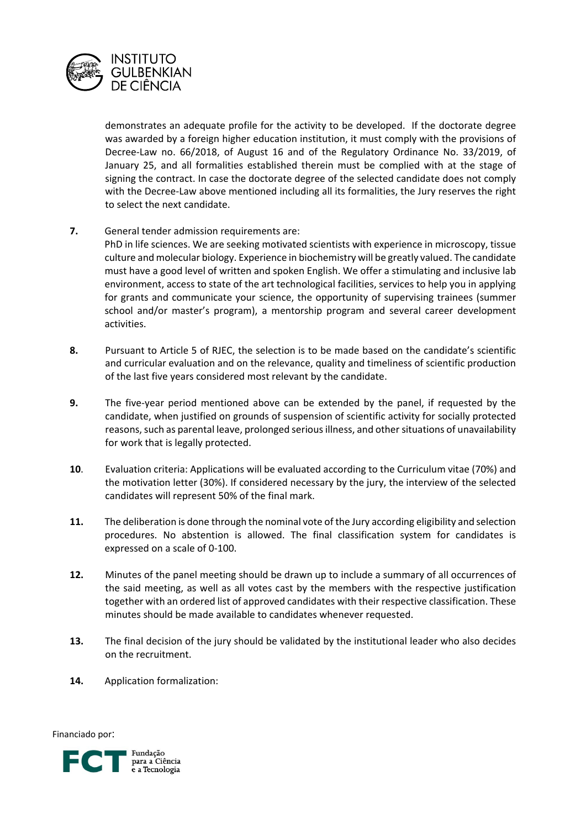

demonstrates an adequate profile for the activity to be developed. If the doctorate degree was awarded by a foreign higher education institution, it must comply with the provisions of Decree‐Law no. 66/2018, of August 16 and of the Regulatory Ordinance No. 33/2019, of January 25, and all formalities established therein must be complied with at the stage of signing the contract. In case the doctorate degree of the selected candidate does not comply with the Decree-Law above mentioned including all its formalities, the Jury reserves the right to select the next candidate.

**7.** General tender admission requirements are:

PhD in life sciences. We are seeking motivated scientists with experience in microscopy, tissue culture and molecular biology. Experience in biochemistry will be greatly valued. The candidate must have a good level of written and spoken English. We offer a stimulating and inclusive lab environment, access to state of the art technological facilities, services to help you in applying for grants and communicate your science, the opportunity of supervising trainees (summer school and/or master's program), a mentorship program and several career development activities.

- 8. Pursuant to Article 5 of RJEC, the selection is to be made based on the candidate's scientific and curricular evaluation and on the relevance, quality and timeliness of scientific production of the last five years considered most relevant by the candidate.
- **9.** The five-year period mentioned above can be extended by the panel, if requested by the candidate, when justified on grounds of suspension of scientific activity for socially protected reasons, such as parental leave, prolonged serious illness, and other situations of unavailability for work that is legally protected.
- **10**. Evaluation criteria: Applications will be evaluated according to the Curriculum vitae (70%) and the motivation letter (30%). If considered necessary by the jury, the interview of the selected candidates will represent 50% of the final mark.
- **11.** The deliberation is done through the nominal vote of the Jury according eligibility and selection procedures. No abstention is allowed. The final classification system for candidates is expressed on a scale of 0‐100.
- 12. Minutes of the panel meeting should be drawn up to include a summary of all occurrences of the said meeting, as well as all votes cast by the members with the respective justification together with an ordered list of approved candidates with their respective classification. These minutes should be made available to candidates whenever requested.
- **13.** The final decision of the jury should be validated by the institutional leader who also decides on the recruitment.
- 14. **Application formalization:**

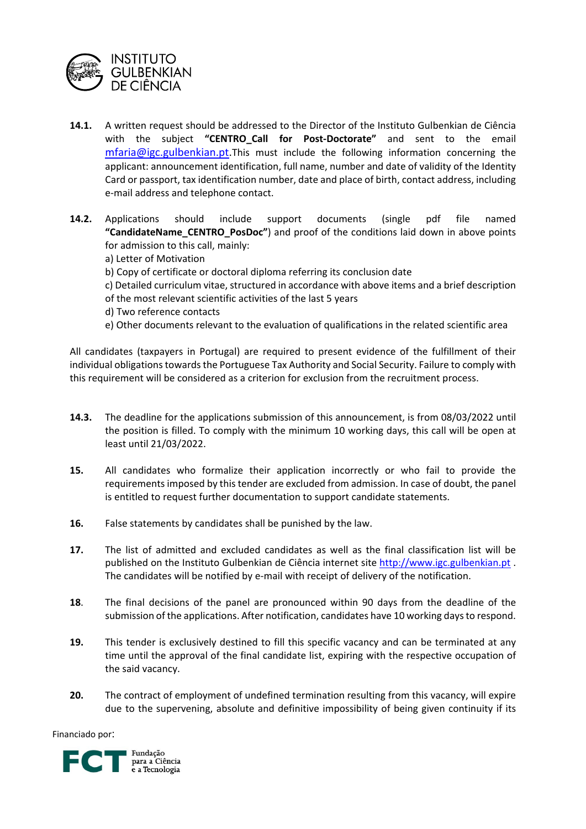

- **14.1.** A written request should be addressed to the Director of the Instituto Gulbenkian de Ciência with the subject **"CENTRO\_Call for Post‐Doctorate"** and sent to the email mfaria@igc.gulbenkian.pt.This must include the following information concerning the applicant: announcement identification, full name, number and date of validity of the Identity Card or passport, tax identification number, date and place of birth, contact address, including e‐mail address and telephone contact.
- **14.2.** Applications should include support documents (single pdf file named **"CandidateName\_CENTRO\_PosDoc"**) and proof of the conditions laid down in above points for admission to this call, mainly:
	- a) Letter of Motivation
	- b) Copy of certificate or doctoral diploma referring its conclusion date
	- c) Detailed curriculum vitae, structured in accordance with above items and a brief description
	- of the most relevant scientific activities of the last 5 years
	- d) Two reference contacts
	- e) Other documents relevant to the evaluation of qualifications in the related scientific area

All candidates (taxpayers in Portugal) are required to present evidence of the fulfillment of their individual obligations towards the Portuguese Tax Authority and Social Security. Failure to comply with this requirement will be considered as a criterion for exclusion from the recruitment process.

- **14.3.** The deadline for the applications submission of this announcement, is from 08/03/2022 until the position is filled. To comply with the minimum 10 working days, this call will be open at least until 21/03/2022.
- **15.**  All candidates who formalize their application incorrectly or who fail to provide the requirements imposed by this tender are excluded from admission. In case of doubt, the panel is entitled to request further documentation to support candidate statements.
- **16.** False statements by candidates shall be punished by the law.
- **17.**  The list of admitted and excluded candidates as well as the final classification list will be published on the Instituto Gulbenkian de Ciência internet site http://www.igc.gulbenkian.pt . The candidates will be notified by e-mail with receipt of delivery of the notification.
- **18**. The final decisions of the panel are pronounced within 90 days from the deadline of the submission of the applications. After notification, candidates have 10 working daysto respond.
- **19.** This tender is exclusively destined to fill this specific vacancy and can be terminated at any time until the approval of the final candidate list, expiring with the respective occupation of the said vacancy.
- **20.** The contract of employment of undefined termination resulting from this vacancy, will expire due to the supervening, absolute and definitive impossibility of being given continuity if its

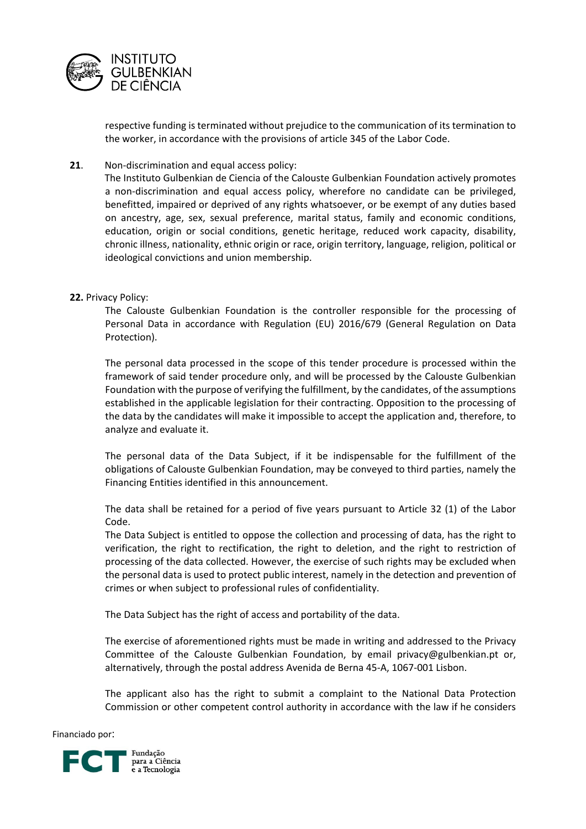

respective funding is terminated without prejudice to the communication of its termination to the worker, in accordance with the provisions of article 345 of the Labor Code.

## **21.** Non-discrimination and equal access policy:

The Instituto Gulbenkian de Ciencia of the Calouste Gulbenkian Foundation actively promotes a non‐discrimination and equal access policy, wherefore no candidate can be privileged, benefitted, impaired or deprived of any rights whatsoever, or be exempt of any duties based on ancestry, age, sex, sexual preference, marital status, family and economic conditions, education, origin or social conditions, genetic heritage, reduced work capacity, disability, chronic illness, nationality, ethnic origin or race, origin territory, language, religion, political or ideological convictions and union membership.

## **22.** Privacy Policy:

The Calouste Gulbenkian Foundation is the controller responsible for the processing of Personal Data in accordance with Regulation (EU) 2016/679 (General Regulation on Data Protection).

The personal data processed in the scope of this tender procedure is processed within the framework of said tender procedure only, and will be processed by the Calouste Gulbenkian Foundation with the purpose of verifying the fulfillment, by the candidates, of the assumptions established in the applicable legislation for their contracting. Opposition to the processing of the data by the candidates will make it impossible to accept the application and, therefore, to analyze and evaluate it.

The personal data of the Data Subject, if it be indispensable for the fulfillment of the obligations of Calouste Gulbenkian Foundation, may be conveyed to third parties, namely the Financing Entities identified in this announcement.

The data shall be retained for a period of five years pursuant to Article 32 (1) of the Labor Code.

The Data Subject is entitled to oppose the collection and processing of data, has the right to verification, the right to rectification, the right to deletion, and the right to restriction of processing of the data collected. However, the exercise of such rights may be excluded when the personal data is used to protect public interest, namely in the detection and prevention of crimes or when subject to professional rules of confidentiality.

The Data Subject has the right of access and portability of the data.

The exercise of aforementioned rights must be made in writing and addressed to the Privacy Committee of the Calouste Gulbenkian Foundation, by email privacy@gulbenkian.pt or, alternatively, through the postal address Avenida de Berna 45‐A, 1067‐001 Lisbon.

The applicant also has the right to submit a complaint to the National Data Protection Commission or other competent control authority in accordance with the law if he considers